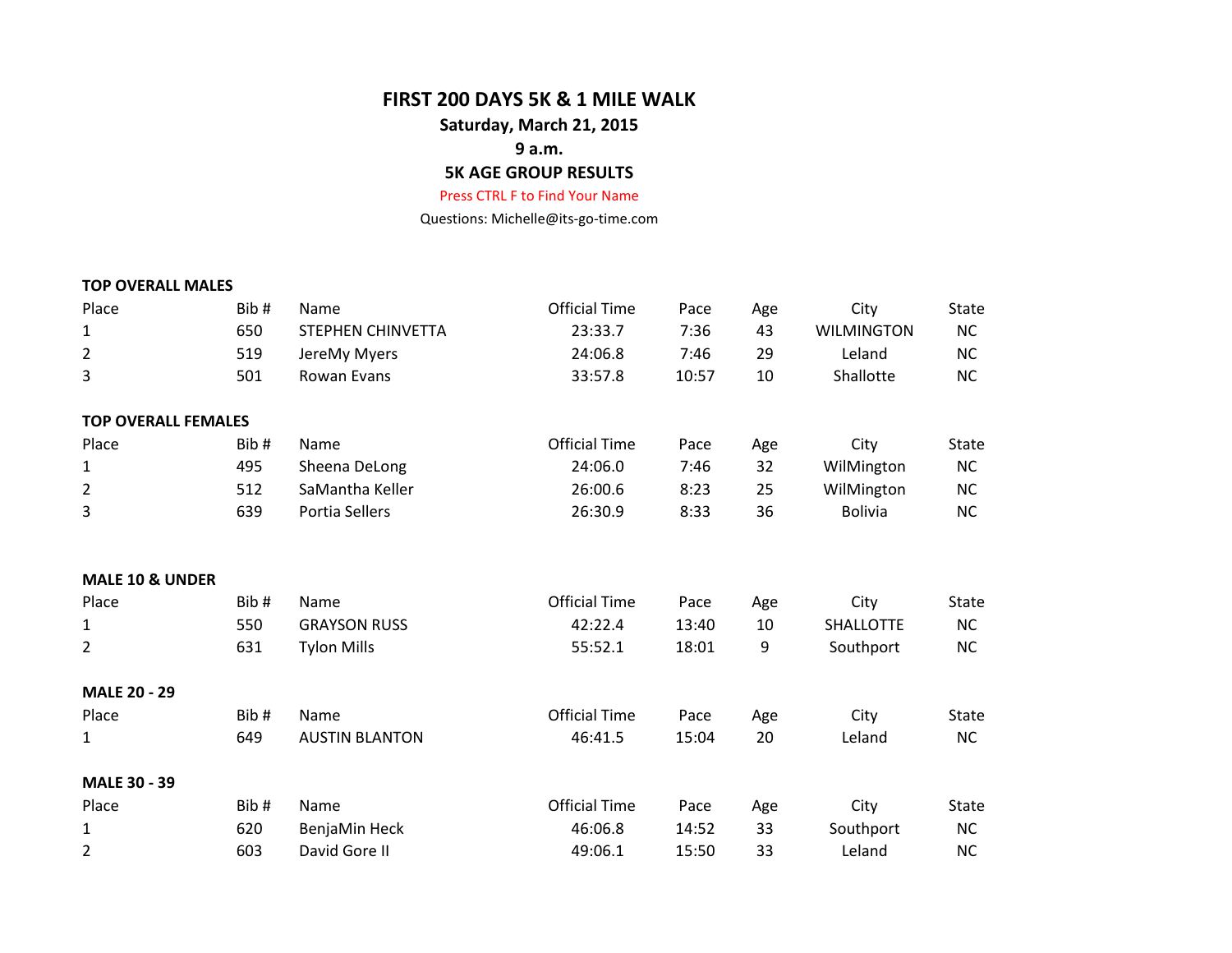### **FIRST 200 DAYS 5K & 1 MILE WALK**

### **Saturday, March 21, 2015**

## **9 a.m.**

# **5K AGE GROUP RESULTS**

#### Press CTRL F to Find Your Name

Questions: Michelle@its-go-time.com

# **TOP OVERALL MALES**

| Place                      | Bib# | Name                     | <b>Official Time</b> | Pace  | Age | City              | <b>State</b> |
|----------------------------|------|--------------------------|----------------------|-------|-----|-------------------|--------------|
| 1                          | 650  | <b>STEPHEN CHINVETTA</b> | 23:33.7              | 7:36  | 43  | <b>WILMINGTON</b> | <b>NC</b>    |
| $\overline{2}$             | 519  | JereMy Myers             | 24:06.8              | 7:46  | 29  | Leland            | <b>NC</b>    |
| 3                          | 501  | Rowan Evans              | 33:57.8              | 10:57 | 10  | Shallotte         | <b>NC</b>    |
| <b>TOP OVERALL FEMALES</b> |      |                          |                      |       |     |                   |              |
| Place                      | Bib# | Name                     | <b>Official Time</b> | Pace  | Age | City              | <b>State</b> |
| 1                          | 495  | Sheena DeLong            | 24:06.0              | 7:46  | 32  | WilMington        | <b>NC</b>    |
| $\overline{2}$             | 512  | SaMantha Keller          | 26:00.6              | 8:23  | 25  | WilMington        | <b>NC</b>    |
| 3                          | 639  | Portia Sellers           | 26:30.9              | 8:33  | 36  | <b>Bolivia</b>    | <b>NC</b>    |
| <b>MALE 10 &amp; UNDER</b> |      |                          |                      |       |     |                   |              |
| Place                      | Bib# | Name                     | <b>Official Time</b> | Pace  | Age | City              | <b>State</b> |
| 1                          | 550  | <b>GRAYSON RUSS</b>      | 42:22.4              | 13:40 | 10  | <b>SHALLOTTE</b>  | <b>NC</b>    |
| 2                          | 631  | <b>Tylon Mills</b>       | 55:52.1              | 18:01 | 9   | Southport         | <b>NC</b>    |
| <b>MALE 20 - 29</b>        |      |                          |                      |       |     |                   |              |
| Place                      | Bib# | Name                     | <b>Official Time</b> | Pace  | Age | City              | <b>State</b> |
| 1                          | 649  | <b>AUSTIN BLANTON</b>    | 46:41.5              | 15:04 | 20  | Leland            | <b>NC</b>    |
| <b>MALE 30 - 39</b>        |      |                          |                      |       |     |                   |              |
| Place                      | Bib# | Name                     | <b>Official Time</b> | Pace  | Age | City              | <b>State</b> |
| 1                          | 620  | BenjaMin Heck            | 46:06.8              | 14:52 | 33  | Southport         | <b>NC</b>    |
| $\overline{2}$             | 603  | David Gore II            | 49:06.1              | 15:50 | 33  | Leland            | <b>NC</b>    |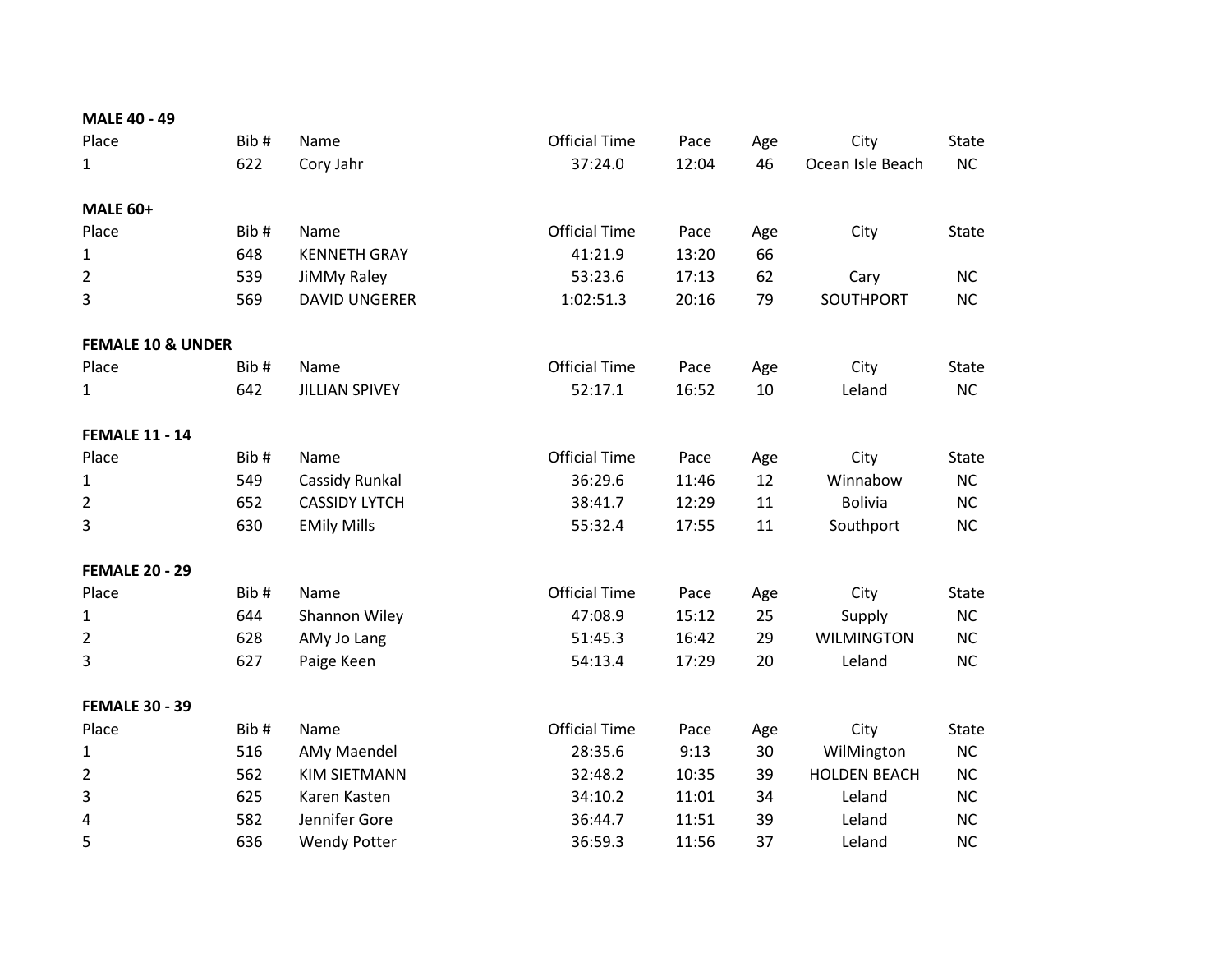| <b>MALE 40 - 49</b>          |      |                       |                      |               |           |                     |              |
|------------------------------|------|-----------------------|----------------------|---------------|-----------|---------------------|--------------|
| Place                        | Bib# | Name                  | <b>Official Time</b> | Pace          | Age       | City                | State        |
| $\mathbf{1}$                 | 622  | Cory Jahr             | 37:24.0              | 12:04         | 46        | Ocean Isle Beach    | NC           |
| <b>MALE 60+</b>              |      |                       |                      |               |           |                     |              |
| Place                        | Bib# | Name                  | <b>Official Time</b> |               |           |                     |              |
|                              | 648  | <b>KENNETH GRAY</b>   | 41:21.9              | Pace<br>13:20 | Age<br>66 | City                | <b>State</b> |
| $\mathbf{1}$                 |      |                       |                      |               |           |                     |              |
| $\overline{2}$               | 539  | JiMMy Raley           | 53:23.6              | 17:13         | 62        | Cary                | <b>NC</b>    |
| 3                            | 569  | <b>DAVID UNGERER</b>  | 1:02:51.3            | 20:16         | 79        | SOUTHPORT           | <b>NC</b>    |
| <b>FEMALE 10 &amp; UNDER</b> |      |                       |                      |               |           |                     |              |
| Place                        | Bib# | Name                  | <b>Official Time</b> | Pace          | Age       | City                | <b>State</b> |
| $\mathbf{1}$                 | 642  | <b>JILLIAN SPIVEY</b> | 52:17.1              | 16:52         | 10        | Leland              | <b>NC</b>    |
| <b>FEMALE 11 - 14</b>        |      |                       |                      |               |           |                     |              |
| Place                        | Bib# | Name                  | <b>Official Time</b> | Pace          | Age       | City                | <b>State</b> |
| $\mathbf{1}$                 | 549  | Cassidy Runkal        | 36:29.6              | 11:46         | 12        | Winnabow            | <b>NC</b>    |
| $\overline{2}$               | 652  | <b>CASSIDY LYTCH</b>  | 38:41.7              | 12:29         | 11        | <b>Bolivia</b>      | <b>NC</b>    |
| 3                            | 630  | <b>EMily Mills</b>    | 55:32.4              | 17:55         | 11        | Southport           | NC           |
| <b>FEMALE 20 - 29</b>        |      |                       |                      |               |           |                     |              |
| Place                        | Bib# | Name                  | <b>Official Time</b> | Pace          | Age       | City                | <b>State</b> |
| $\mathbf{1}$                 | 644  | Shannon Wiley         | 47:08.9              | 15:12         | 25        | Supply              | NC           |
| $\overline{2}$               | 628  | AMy Jo Lang           | 51:45.3              | 16:42         | 29        | <b>WILMINGTON</b>   | <b>NC</b>    |
| 3                            | 627  | Paige Keen            | 54:13.4              | 17:29         | 20        | Leland              | <b>NC</b>    |
| <b>FEMALE 30 - 39</b>        |      |                       |                      |               |           |                     |              |
| Place                        | Bib# | Name                  | <b>Official Time</b> | Pace          | Age       | City                | State        |
| $\mathbf{1}$                 | 516  | AMy Maendel           | 28:35.6              | 9:13          | 30        | WilMington          | NC           |
| $\overline{2}$               | 562  | <b>KIM SIETMANN</b>   | 32:48.2              | 10:35         | 39        | <b>HOLDEN BEACH</b> | <b>NC</b>    |
| 3                            | 625  | Karen Kasten          | 34:10.2              | 11:01         | 34        | Leland              | <b>NC</b>    |
| 4                            | 582  | Jennifer Gore         | 36:44.7              | 11:51         | 39        | Leland              | NC           |
| 5                            | 636  | <b>Wendy Potter</b>   | 36:59.3              | 11:56         | 37        | Leland              | <b>NC</b>    |
|                              |      |                       |                      |               |           |                     |              |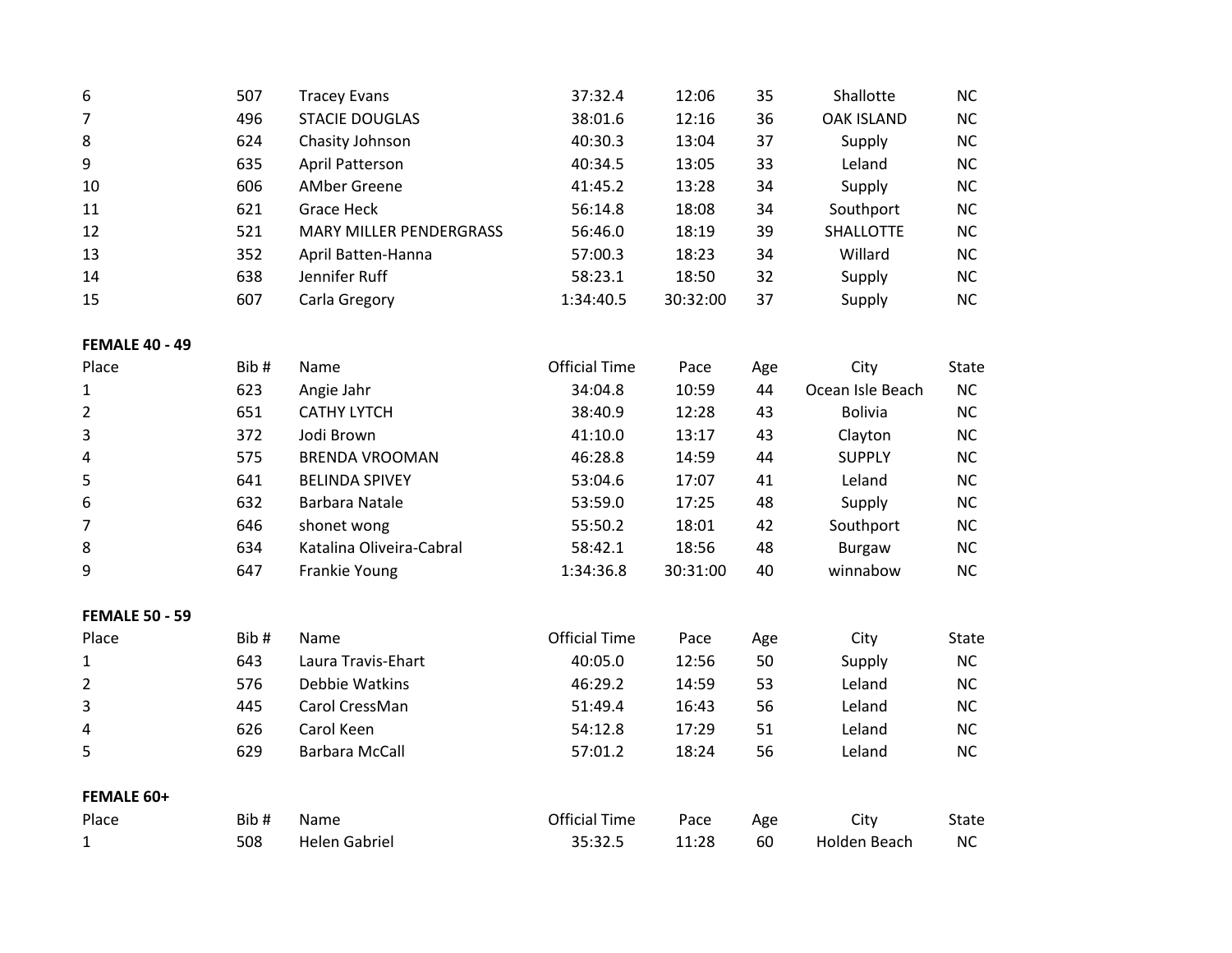| 6              | 507 | Tracey Evans                   | 37:32.4   | 12:06    | 35 | Shallotte         | NC.       |
|----------------|-----|--------------------------------|-----------|----------|----|-------------------|-----------|
| $\overline{7}$ | 496 | <b>STACIE DOUGLAS</b>          | 38:01.6   | 12:16    | 36 | <b>OAK ISLAND</b> | <b>NC</b> |
| 8              | 624 | Chasity Johnson                | 40:30.3   | 13:04    | 37 | Supply            | NC.       |
| 9              | 635 | April Patterson                | 40:34.5   | 13:05    | 33 | Leland            | NC.       |
| 10             | 606 | AMber Greene                   | 41:45.2   | 13:28    | 34 | Supply            | NC.       |
| 11             | 621 | Grace Heck                     | 56:14.8   | 18:08    | 34 | Southport         | NC.       |
| 12             | 521 | <b>MARY MILLER PENDERGRASS</b> | 56:46.0   | 18:19    | 39 | <b>SHALLOTTE</b>  | NC.       |
| 13             | 352 | April Batten-Hanna             | 57:00.3   | 18:23    | 34 | Willard           | NC.       |
| 14             | 638 | Jennifer Ruff                  | 58:23.1   | 18:50    | 32 | Supply            | NC.       |
| 15             | 607 | Carla Gregory                  | 1:34:40.5 | 30:32:00 | 37 | Supply            | NC.       |

#### **FEMALE 40 - 49**

| Place          | Bib# | Name                     | <b>Official Time</b> | Pace     | Age | City             | <b>State</b> |
|----------------|------|--------------------------|----------------------|----------|-----|------------------|--------------|
| $\mathbf{1}$   | 623  | Angie Jahr               | 34:04.8              | 10:59    | 44  | Ocean Isle Beach | NC.          |
| $\overline{2}$ | 651  | <b>CATHY LYTCH</b>       | 38:40.9              | 12:28    | 43  | <b>Bolivia</b>   | NС           |
| 3              | 372  | Jodi Brown               | 41:10.0              | 13:17    | 43  | Clayton          | NС           |
| 4              | 575  | <b>BRENDA VROOMAN</b>    | 46:28.8              | 14:59    | 44  | <b>SUPPLY</b>    | NС           |
| 5              | 641  | <b>BELINDA SPIVEY</b>    | 53:04.6              | 17:07    | 41  | Leland           | NС           |
| 6              | 632  | Barbara Natale           | 53:59.0              | 17:25    | 48  | Supply           | NС           |
|                | 646  | shonet wong              | 55:50.2              | 18:01    | 42  | Southport        | NС           |
| 8              | 634  | Katalina Oliveira-Cabral | 58:42.1              | 18:56    | 48  | Burgaw           | NС           |
| 9              | 647  | Frankie Young            | 1:34:36.8            | 30:31:00 | 40  | winnabow         | NС           |

#### **FEMALE 50 - 59**

| Place             | Bib# | <b>Name</b>        | <b>Official Time</b> | Pace  | Age | City         | State |
|-------------------|------|--------------------|----------------------|-------|-----|--------------|-------|
| $\mathbf{1}$      | 643  | Laura Travis-Ehart | 40:05.0              | 12:56 | 50  | Supply       | NС    |
| $\overline{2}$    | 576  | Debbie Watkins     | 46:29.2              | 14:59 | 53  | Leland       | NС    |
| 3                 | 445  | Carol CressMan     | 51:49.4              | 16:43 | 56  | Leland       | NС    |
| 4                 | 626  | Carol Keen         | 54:12.8              | 17:29 | 51  | Leland       | NС    |
| 5                 | 629  | Barbara McCall     | 57:01.2              | 18:24 | 56  | Leland       | NС    |
| <b>FEMALE 60+</b> |      |                    |                      |       |     |              |       |
| Place             | Bib# | Name               | <b>Official Time</b> | Pace  | Age | City         | State |
| 1                 | 508  | Helen Gabriel      | 35:32.5              | 11:28 | 60  | Holden Beach | NC.   |